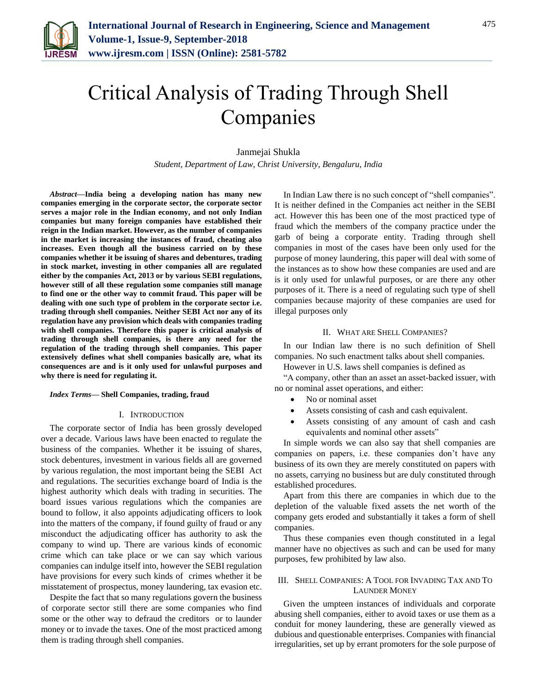

# Critical Analysis of Trading Through Shell Companies

Janmejai Shukla *Student, Department of Law, Christ University, Bengaluru, India*

*Abstract***—India being a developing nation has many new companies emerging in the corporate sector, the corporate sector serves a major role in the Indian economy, and not only Indian companies but many foreign companies have established their reign in the Indian market. However, as the number of companies in the market is increasing the instances of fraud, cheating also increases. Even though all the business carried on by these companies whether it be issuing of shares and debentures, trading in stock market, investing in other companies all are regulated either by the companies Act, 2013 or by various SEBI regulations, however still of all these regulation some companies still manage to find one or the other way to commit fraud. This paper will be dealing with one such type of problem in the corporate sector i.e. trading through shell companies. Neither SEBI Act nor any of its regulation have any provision which deals with companies trading with shell companies. Therefore this paper is critical analysis of trading through shell companies, is there any need for the regulation of the trading through shell companies. This paper extensively defines what shell companies basically are, what its consequences are and is it only used for unlawful purposes and why there is need for regulating it.**

#### *Index Terms***— Shell Companies, trading, fraud**

### I. INTRODUCTION

The corporate sector of India has been grossly developed over a decade. Various laws have been enacted to regulate the business of the companies. Whether it be issuing of shares, stock debentures, investment in various fields all are governed by various regulation, the most important being the SEBI Act and regulations. The securities exchange board of India is the highest authority which deals with trading in securities. The board issues various regulations which the companies are bound to follow, it also appoints adjudicating officers to look into the matters of the company, if found guilty of fraud or any misconduct the adjudicating officer has authority to ask the company to wind up. There are various kinds of economic crime which can take place or we can say which various companies can indulge itself into, however the SEBI regulation have provisions for every such kinds of crimes whether it be misstatement of prospectus, money laundering, tax evasion etc.

Despite the fact that so many regulations govern the business of corporate sector still there are some companies who find some or the other way to defraud the creditors or to launder money or to invade the taxes. One of the most practiced among them is trading through shell companies.

In Indian Law there is no such concept of "shell companies". It is neither defined in the Companies act neither in the SEBI act. However this has been one of the most practiced type of fraud which the members of the company practice under the garb of being a corporate entity. Trading through shell companies in most of the cases have been only used for the purpose of money laundering, this paper will deal with some of the instances as to show how these companies are used and are is it only used for unlawful purposes, or are there any other purposes of it. There is a need of regulating such type of shell companies because majority of these companies are used for illegal purposes only

### II. WHAT ARE SHELL COMPANIES?

In our Indian law there is no such definition of Shell companies. No such enactment talks about shell companies.

However in U.S. laws shell companies is defined as

"A company, other than an asset an asset-backed issuer, with no or nominal asset operations, and either:

- No or nominal asset
- Assets consisting of cash and cash equivalent.
- Assets consisting of any amount of cash and cash equivalents and nominal other assets"

In simple words we can also say that shell companies are companies on papers, i.e. these companies don't have any business of its own they are merely constituted on papers with no assets, carrying no business but are duly constituted through established procedures.

Apart from this there are companies in which due to the depletion of the valuable fixed assets the net worth of the company gets eroded and substantially it takes a form of shell companies.

Thus these companies even though constituted in a legal manner have no objectives as such and can be used for many purposes, few prohibited by law also.

# III. SHELL COMPANIES: A TOOL FOR INVADING TAX AND TO LAUNDER MONEY

Given the umpteen instances of individuals and corporate abusing shell companies, either to avoid taxes or use them as a conduit for money laundering, these are generally viewed as dubious and questionable enterprises. Companies with financial irregularities, set up by errant promoters for the sole purpose of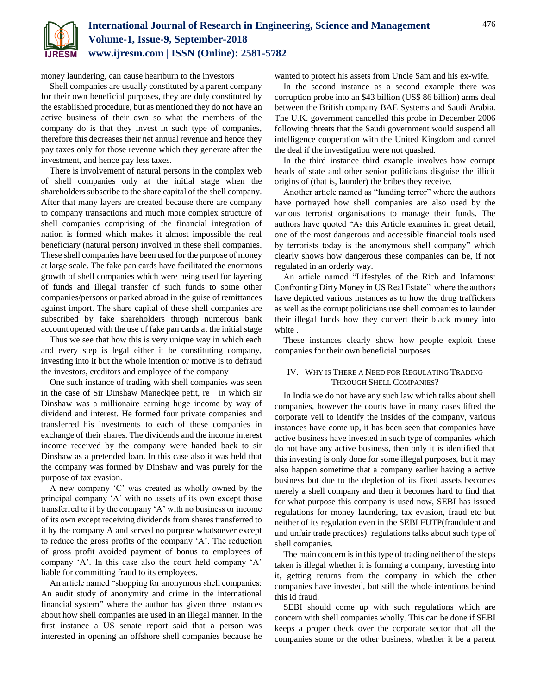

money laundering, can cause heartburn to the investors

Shell companies are usually constituted by a parent company for their own beneficial purposes, they are duly constituted by the established procedure, but as mentioned they do not have an active business of their own so what the members of the company do is that they invest in such type of companies, therefore this decreases their net annual revenue and hence they pay taxes only for those revenue which they generate after the investment, and hence pay less taxes.

There is involvement of natural persons in the complex web of shell companies only at the initial stage when the shareholders subscribe to the share capital of the shell company. After that many layers are created because there are company to company transactions and much more complex structure of shell companies comprising of the financial integration of nation is formed which makes it almost impossible the real beneficiary (natural person) involved in these shell companies. These shell companies have been used for the purpose of money at large scale. The fake pan cards have facilitated the enormous growth of shell companies which were being used for layering of funds and illegal transfer of such funds to some other companies/persons or parked abroad in the guise of remittances against import. The share capital of these shell companies are subscribed by fake shareholders through numerous bank account opened with the use of fake pan cards at the initial stage

Thus we see that how this is very unique way in which each and every step is legal either it be constituting company, investing into it but the whole intention or motive is to defraud the investors, creditors and employee of the company

One such instance of trading with shell companies was seen in the case of Sir Dinshaw Maneckjee petit, re in which sir Dinshaw was a millionaire earning huge income by way of dividend and interest. He formed four private companies and transferred his investments to each of these companies in exchange of their shares. The dividends and the income interest income received by the company were handed back to sir Dinshaw as a pretended loan. In this case also it was held that the company was formed by Dinshaw and was purely for the purpose of tax evasion.

A new company 'C' was created as wholly owned by the principal company 'A' with no assets of its own except those transferred to it by the company 'A' with no business or income of its own except receiving dividends from shares transferred to it by the company A and served no purpose whatsoever except to reduce the gross profits of the company 'A'. The reduction of gross profit avoided payment of bonus to employees of company 'A'. In this case also the court held company 'A' liable for committing fraud to its employees.

An article named "shopping for anonymous shell companies: An audit study of anonymity and crime in the international financial system" where the author has given three instances about how shell companies are used in an illegal manner. In the first instance a US senate report said that a person was interested in opening an offshore shell companies because he

wanted to protect his assets from Uncle Sam and his ex-wife.

In the second instance as a second example there was corruption probe into an \$43 billion (US\$ 86 billion) arms deal between the British company BAE Systems and Saudi Arabia. The U.K. government cancelled this probe in December 2006 following threats that the Saudi government would suspend all intelligence cooperation with the United Kingdom and cancel the deal if the investigation were not quashed.

In the third instance third example involves how corrupt heads of state and other senior politicians disguise the illicit origins of (that is, launder) the bribes they receive.

Another article named as "funding terror" where the authors have portrayed how shell companies are also used by the various terrorist organisations to manage their funds. The authors have quoted "As this Article examines in great detail, one of the most dangerous and accessible financial tools used by terrorists today is the anonymous shell company" which clearly shows how dangerous these companies can be, if not regulated in an orderly way.

An article named "Lifestyles of the Rich and Infamous: Confronting Dirty Money in US Real Estate" where the authors have depicted various instances as to how the drug traffickers as well as the corrupt politicians use shell companies to launder their illegal funds how they convert their black money into white .

These instances clearly show how people exploit these companies for their own beneficial purposes.

# IV. WHY IS THERE A NEED FOR REGULATING TRADING THROUGH SHELL COMPANIES?

In India we do not have any such law which talks about shell companies, however the courts have in many cases lifted the corporate veil to identify the insides of the company, various instances have come up, it has been seen that companies have active business have invested in such type of companies which do not have any active business, then only it is identified that this investing is only done for some illegal purposes, but it may also happen sometime that a company earlier having a active business but due to the depletion of its fixed assets becomes merely a shell company and then it becomes hard to find that for what purpose this company is used now, SEBI has issued regulations for money laundering, tax evasion, fraud etc but neither of its regulation even in the SEBI FUTP(fraudulent and und unfair trade practices) regulations talks about such type of shell companies.

The main concern is in this type of trading neither of the steps taken is illegal whether it is forming a company, investing into it, getting returns from the company in which the other companies have invested, but still the whole intentions behind this id fraud.

SEBI should come up with such regulations which are concern with shell companies wholly. This can be done if SEBI keeps a proper check over the corporate sector that all the companies some or the other business, whether it be a parent